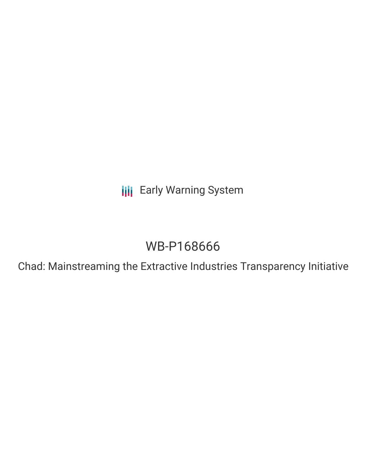**III** Early Warning System

# WB-P168666

Chad: Mainstreaming the Extractive Industries Transparency Initiative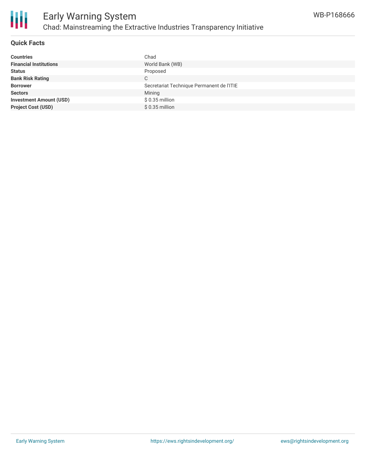

#### **Quick Facts**

| <b>Countries</b>               | Chad                                      |
|--------------------------------|-------------------------------------------|
| <b>Financial Institutions</b>  | World Bank (WB)                           |
| <b>Status</b>                  | Proposed                                  |
| <b>Bank Risk Rating</b>        | С                                         |
| <b>Borrower</b>                | Secretariat Technique Permanent de l'ITIE |
| <b>Sectors</b>                 | Mining                                    |
| <b>Investment Amount (USD)</b> | $$0.35$ million                           |
| <b>Project Cost (USD)</b>      | $$0.35$ million                           |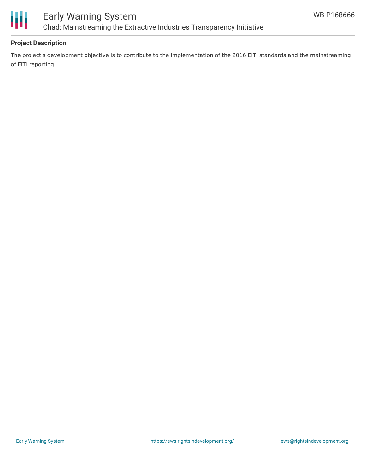

## Early Warning System Chad: Mainstreaming the Extractive Industries Transparency Initiative

#### **Project Description**

The project's development objective is to contribute to the implementation of the 2016 EITI standards and the mainstreaming of EITI reporting.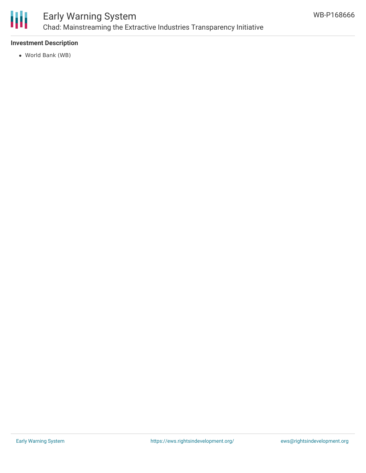

## Early Warning System Chad: Mainstreaming the Extractive Industries Transparency Initiative

#### **Investment Description**

World Bank (WB)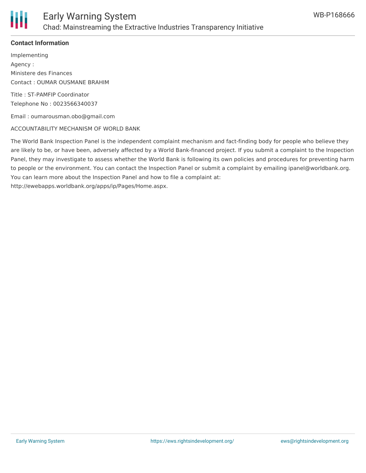

#### **Contact Information**

Implementing Agency : Ministere des Finances Contact : OUMAR OUSMANE BRAHIM

Title : ST-PAMFIP Coordinator Telephone No : 0023566340037

Email : oumarousman.obo@gmail.com

#### ACCOUNTABILITY MECHANISM OF WORLD BANK

The World Bank Inspection Panel is the independent complaint mechanism and fact-finding body for people who believe they are likely to be, or have been, adversely affected by a World Bank-financed project. If you submit a complaint to the Inspection Panel, they may investigate to assess whether the World Bank is following its own policies and procedures for preventing harm to people or the environment. You can contact the Inspection Panel or submit a complaint by emailing ipanel@worldbank.org. You can learn more about the Inspection Panel and how to file a complaint at: http://ewebapps.worldbank.org/apps/ip/Pages/Home.aspx.